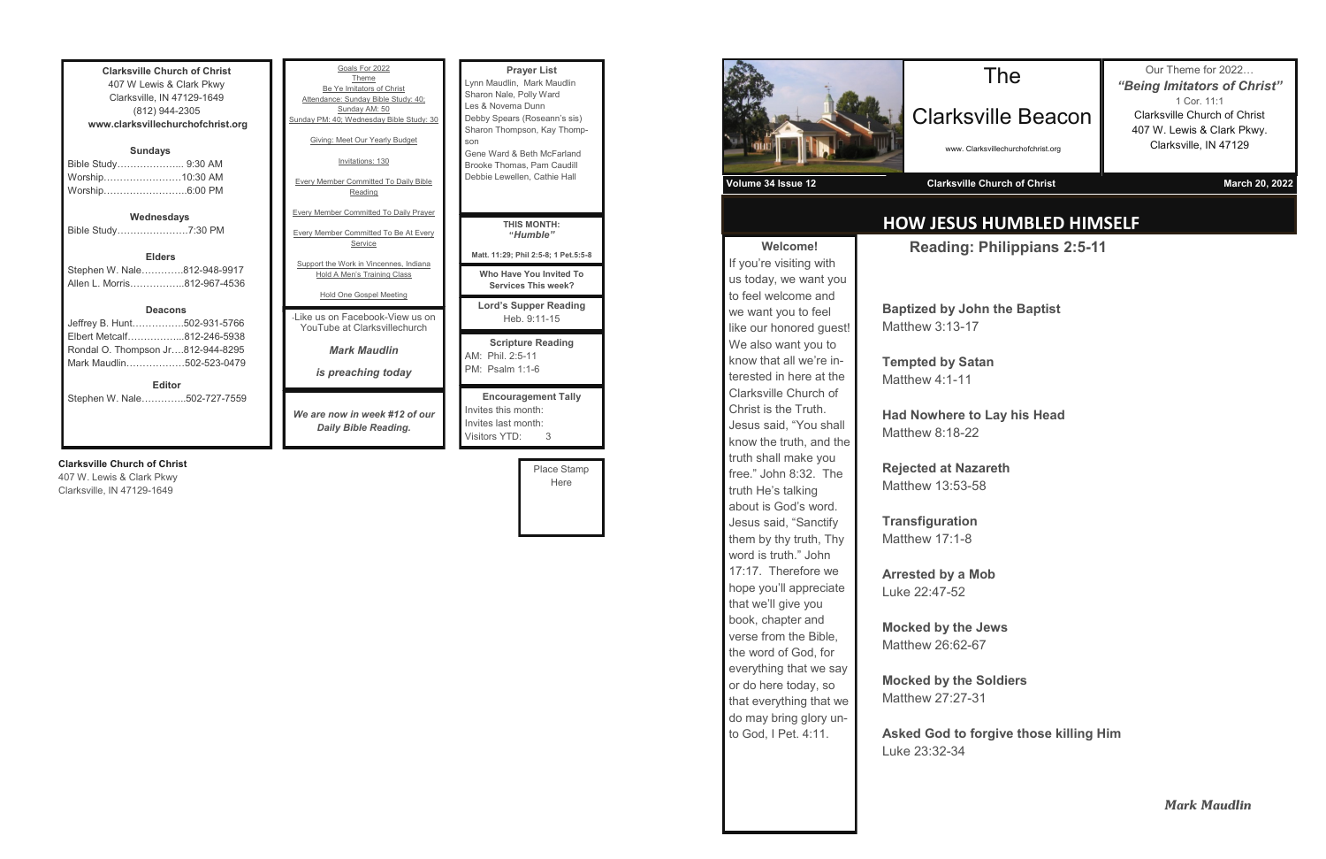**Clarksville Church of Christ** 407 W Lewis & Clark Pkwy Clarksville, IN 47129-1649 (812) 944-2305 **www.clarksvillechurchofchrist.org Sundays** Bible Study………………... 9:30 AM Worship……………………10:30 AM Worship……………………..6:00 PM **Wednesdays** Bible Study………………….7:30 PM **Elders** Stephen W. Nale………….812-948-9917 Allen L. Morris……………..812-967-4536

#### **Deacons**

| <b>Editor</b>                     |  |
|-----------------------------------|--|
| Mark Maudlin502-523-0479          |  |
| Rondal O. Thompson Jr812-944-8295 |  |
| Elbert Metcalf812-246-5938        |  |
| Jeffrey B. Hunt502-931-5766       |  |

Stephen W. Nale…………..502-727-7559

#### **Clarksville Church of Christ**

407 W. Lewis & Clark Pkwy Clarksville, IN 47129-1649

| Goals For 2022<br>Theme<br>Be Ye Imitators of Christ<br>Attendance: Sunday Bible Study: 40;<br>Sunday AM: 50<br>Sunday PM: 40; Wednesday Bible Study: 30<br>Giving: Meet Our Yearly Budget<br>Invitations: 130<br><b>Every Member Committed To Daily Bible</b><br>Reading | <b>Prayer List</b><br>Lynn Maudlin, Mark Maudlin<br>Sharon Nale, Polly Ward<br>Les & Novema Dunn<br>Debby Spears (Roseann's sis)<br>Sharon Thompson, Kay Thomp-<br>son<br>Gene Ward & Beth McFarland<br>Brooke Thomas, Pam Caudill<br>Debbie Lewellen, Cathie Hall |
|---------------------------------------------------------------------------------------------------------------------------------------------------------------------------------------------------------------------------------------------------------------------------|--------------------------------------------------------------------------------------------------------------------------------------------------------------------------------------------------------------------------------------------------------------------|
| <b>Every Member Committed To Daily Prayer</b><br><b>Every Member Committed To Be At Every</b><br>Service<br>Support the Work in Vincennes, Indiana                                                                                                                        | <b>THIS MONTH:</b><br>"Humble"<br>Matt. 11:29; Phil 2:5-8; 1 Pet.5:5-8                                                                                                                                                                                             |
| <b>Hold A Men's Training Class</b><br><b>Hold One Gospel Meeting</b>                                                                                                                                                                                                      | Who Have You Invited To<br>Services This week?<br><b>Lord's Supper Reading</b>                                                                                                                                                                                     |
| -Like us on Facebook-View us on<br>YouTube at Clarksvillechurch                                                                                                                                                                                                           | Heb. 9:11-15                                                                                                                                                                                                                                                       |
| <b>Mark Maudlin</b><br>is preaching today                                                                                                                                                                                                                                 | <b>Scripture Reading</b><br>AM: Phil. 2:5-11<br>PM: Psalm 1:1-6                                                                                                                                                                                                    |
| We are now in week #12 of our<br><b>Daily Bible Reading.</b>                                                                                                                                                                                                              | <b>Encouragement Tally</b><br>Invites this month:<br>Invites last month:<br><b>Visitors YTD:</b><br>3                                                                                                                                                              |

Place Stamp Here



**Welcome!** If you're visiting with us today, we want you to feel welcome and we want you to feel like our honored guest! We also want you to know that all we're interested in here at the Clarksville Church of Christ is the Truth. Jesus said, "You shall know the truth, and the truth shall make you free." John 8:32. The truth He's talking about is God's word. Jesus said, "Sanctify them by thy truth, Thy word is truth." John 17:17. Therefore we hope you'll appreciate that we'll give you book, chapter and verse from the Bible, the word of God, for everything that we say or do here today, so that everything that we do may bring glory unto God, I Pet. 4:11.

## **HOW JESUS HUMBLED HIMSELF**

## The

#### Clarksville Beacon

www. Clarksvillechurchofchrist.org

Our Theme for 2022… *"Being Imitators of Christ"* 1 Cor. 11:1 Clarksville Church of Christ 407 W. Lewis & Clark Pkwy. Clarksville, IN 47129

**Volume 34 Issue 12 Clarksville Church of Christ March 20, 2022**

**Reading: Philippians 2:5-11**

**Baptized by John the Baptist** Matthew 3:13-17

**Tempted by Satan** Matthew 4:1-11

**Had Nowhere to Lay his Head** Matthew 8:18-22

**Rejected at Nazareth** Matthew 13:53-58

**Transfiguration** Matthew 17:1-8

**Arrested by a Mob** Luke 22:47-52

**Mocked by the Jews** Matthew 26:62-67

**Mocked by the Soldiers** Matthew 27:27-31

**Asked God to forgive those killing Him** Luke 23:32-34

*Mark Maudlin*